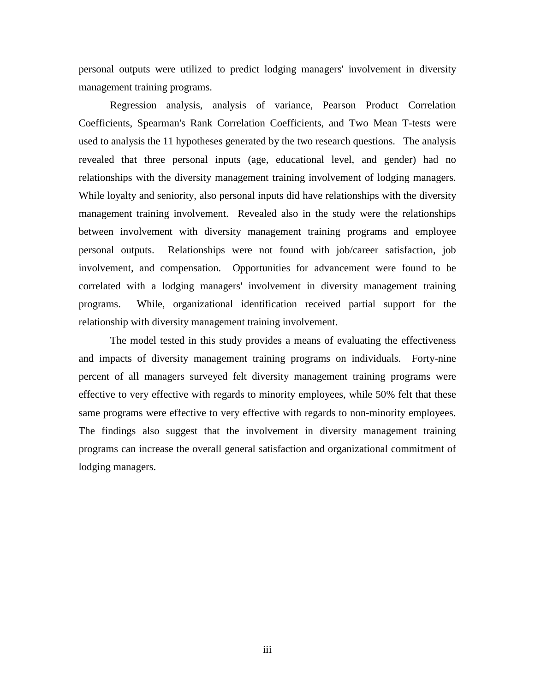personal outputs were utilized to predict lodging managers' involvement in diversity management training programs.

Regression analysis, analysis of variance, Pearson Product Correlation Coefficients, Spearman's Rank Correlation Coefficients, and Two Mean T-tests were used to analysis the 11 hypotheses generated by the two research questions. The analysis revealed that three personal inputs (age, educational level, and gender) had no relationships with the diversity management training involvement of lodging managers. While loyalty and seniority, also personal inputs did have relationships with the diversity management training involvement. Revealed also in the study were the relationships between involvement with diversity management training programs and employee personal outputs. Relationships were not found with job/career satisfaction, job involvement, and compensation. Opportunities for advancement were found to be correlated with a lodging managers' involvement in diversity management training programs. While, organizational identification received partial support for the relationship with diversity management training involvement.

The model tested in this study provides a means of evaluating the effectiveness and impacts of diversity management training programs on individuals. Forty-nine percent of all managers surveyed felt diversity management training programs were effective to very effective with regards to minority employees, while 50% felt that these same programs were effective to very effective with regards to non-minority employees. The findings also suggest that the involvement in diversity management training programs can increase the overall general satisfaction and organizational commitment of lodging managers.

iii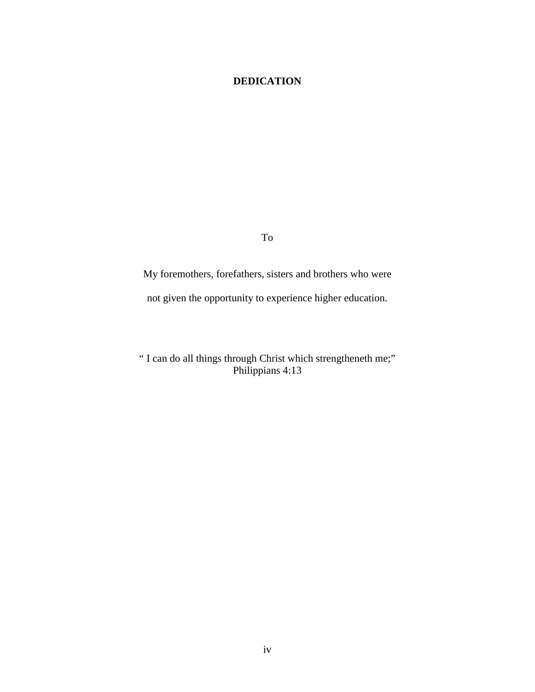#### **DEDICATION**

To

My foremothers, forefathers, sisters and brothers who were not given the opportunity to experience higher education.

" I can do all things through Christ which strengtheneth me;" Philippians 4:13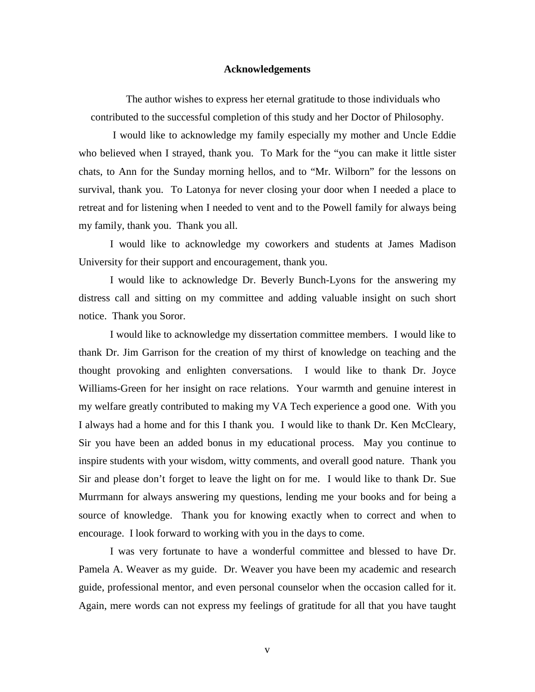#### **Acknowledgements**

The author wishes to express her eternal gratitude to those individuals who contributed to the successful completion of this study and her Doctor of Philosophy.

 I would like to acknowledge my family especially my mother and Uncle Eddie who believed when I strayed, thank you. To Mark for the "you can make it little sister chats, to Ann for the Sunday morning hellos, and to "Mr. Wilborn" for the lessons on survival, thank you. To Latonya for never closing your door when I needed a place to retreat and for listening when I needed to vent and to the Powell family for always being my family, thank you. Thank you all.

I would like to acknowledge my coworkers and students at James Madison University for their support and encouragement, thank you.

I would like to acknowledge Dr. Beverly Bunch-Lyons for the answering my distress call and sitting on my committee and adding valuable insight on such short notice. Thank you Soror.

I would like to acknowledge my dissertation committee members. I would like to thank Dr. Jim Garrison for the creation of my thirst of knowledge on teaching and the thought provoking and enlighten conversations. I would like to thank Dr. Joyce Williams-Green for her insight on race relations. Your warmth and genuine interest in my welfare greatly contributed to making my VA Tech experience a good one. With you I always had a home and for this I thank you. I would like to thank Dr. Ken McCleary, Sir you have been an added bonus in my educational process. May you continue to inspire students with your wisdom, witty comments, and overall good nature. Thank you Sir and please don't forget to leave the light on for me. I would like to thank Dr. Sue Murrmann for always answering my questions, lending me your books and for being a source of knowledge. Thank you for knowing exactly when to correct and when to encourage. I look forward to working with you in the days to come.

I was very fortunate to have a wonderful committee and blessed to have Dr. Pamela A. Weaver as my guide. Dr. Weaver you have been my academic and research guide, professional mentor, and even personal counselor when the occasion called for it. Again, mere words can not express my feelings of gratitude for all that you have taught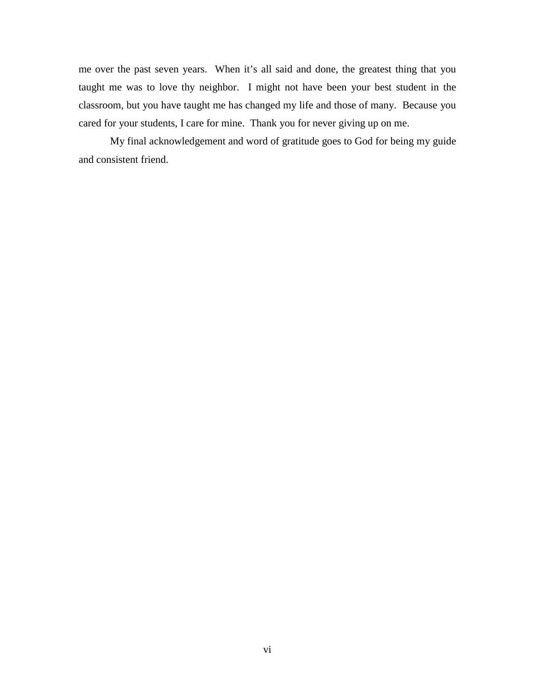me over the past seven years. When it's all said and done, the greatest thing that you taught me was to love thy neighbor. I might not have been your best student in the classroom, but you have taught me has changed my life and those of many. Because you cared for your students, I care for mine. Thank you for never giving up on me.

My final acknowledgement and word of gratitude goes to God for being my guide and consistent friend.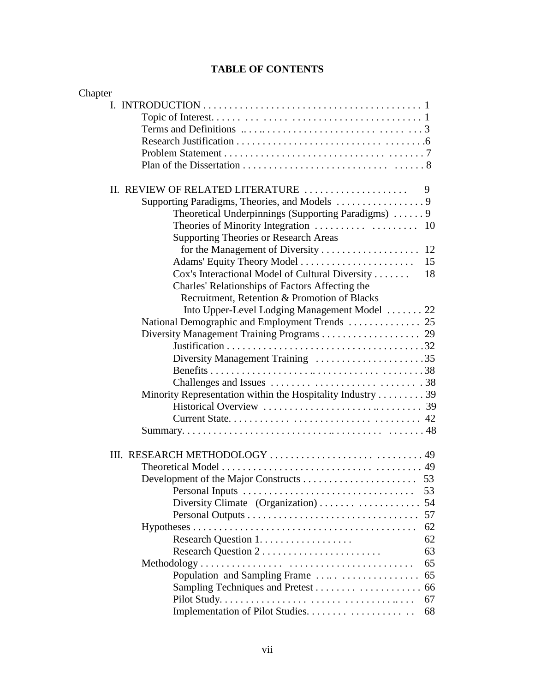| Chapter                                                    |    |
|------------------------------------------------------------|----|
|                                                            |    |
|                                                            |    |
|                                                            |    |
|                                                            |    |
|                                                            |    |
|                                                            |    |
|                                                            |    |
| II. REVIEW OF RELATED LITERATURE                           | 9  |
|                                                            |    |
| Theoretical Underpinnings (Supporting Paradigms)  9        |    |
|                                                            |    |
| <b>Supporting Theories or Research Areas</b>               |    |
|                                                            |    |
|                                                            | 15 |
| Cox's Interactional Model of Cultural Diversity            | 18 |
| Charles' Relationships of Factors Affecting the            |    |
| Recruitment, Retention & Promotion of Blacks               |    |
| Into Upper-Level Lodging Management Model  22              |    |
|                                                            |    |
|                                                            |    |
|                                                            |    |
| Diversity Management Training 35                           |    |
|                                                            |    |
|                                                            |    |
| Minority Representation within the Hospitality Industry 39 |    |
|                                                            |    |
|                                                            |    |
|                                                            |    |
|                                                            |    |
|                                                            |    |
|                                                            |    |
|                                                            | 53 |
|                                                            |    |
|                                                            | 57 |
|                                                            | 62 |
|                                                            | 62 |
| Research Question 2                                        | 63 |
|                                                            | 65 |
|                                                            |    |
|                                                            |    |
|                                                            | 67 |
|                                                            | 68 |
|                                                            |    |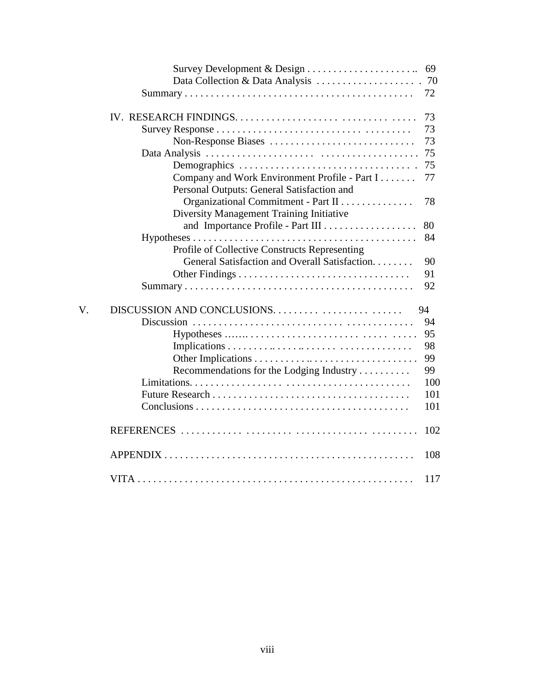|    |                                                                                                     | 69  |
|----|-----------------------------------------------------------------------------------------------------|-----|
|    |                                                                                                     |     |
|    | $Summary \dots \dots \dots \dots \dots \dots \dots \dots \dots \dots \dots \dots \dots \dots \dots$ | 72  |
|    |                                                                                                     | 73  |
|    |                                                                                                     | 73  |
|    | Non-Response Biases                                                                                 | 73  |
|    |                                                                                                     | 75  |
|    |                                                                                                     | 75  |
|    | Company and Work Environment Profile - Part I                                                       | 77  |
|    | Personal Outputs: General Satisfaction and                                                          |     |
|    | Organizational Commitment - Part II                                                                 | 78  |
|    | Diversity Management Training Initiative                                                            |     |
|    |                                                                                                     | 80  |
|    |                                                                                                     | 84  |
|    | Profile of Collective Constructs Representing                                                       |     |
|    | General Satisfaction and Overall Satisfaction.                                                      | 90  |
|    |                                                                                                     | 91  |
|    |                                                                                                     | 92  |
| V. | DISCUSSION AND CONCLUSIONS                                                                          | 94  |
|    |                                                                                                     | 94  |
|    |                                                                                                     | 95  |
|    |                                                                                                     | 98  |
|    |                                                                                                     | 99  |
|    | Recommendations for the Lodging Industry                                                            | 99  |
|    |                                                                                                     | 100 |
|    |                                                                                                     | 101 |
|    |                                                                                                     | 101 |
|    |                                                                                                     | 102 |
|    |                                                                                                     | 108 |
|    |                                                                                                     | 117 |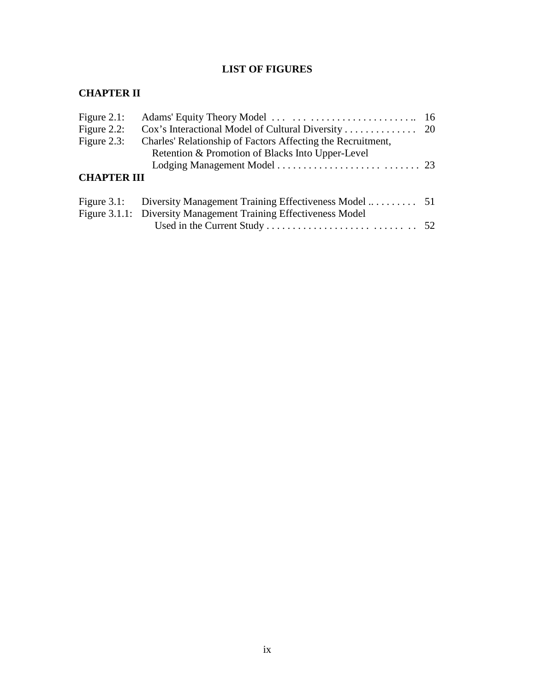#### **LIST OF FIGURES**

## **CHAPTER II**

| Figure $2.1$ :     |                                                                 |  |
|--------------------|-----------------------------------------------------------------|--|
| Figure $2.2$ :     |                                                                 |  |
| Figure $2.3$ :     | Charles' Relationship of Factors Affecting the Recruitment,     |  |
|                    | Retention & Promotion of Blacks Into Upper-Level                |  |
|                    |                                                                 |  |
| <b>CHAPTER III</b> |                                                                 |  |
|                    |                                                                 |  |
|                    | Figure 3.1.1: Diversity Management Training Effectiveness Model |  |
|                    |                                                                 |  |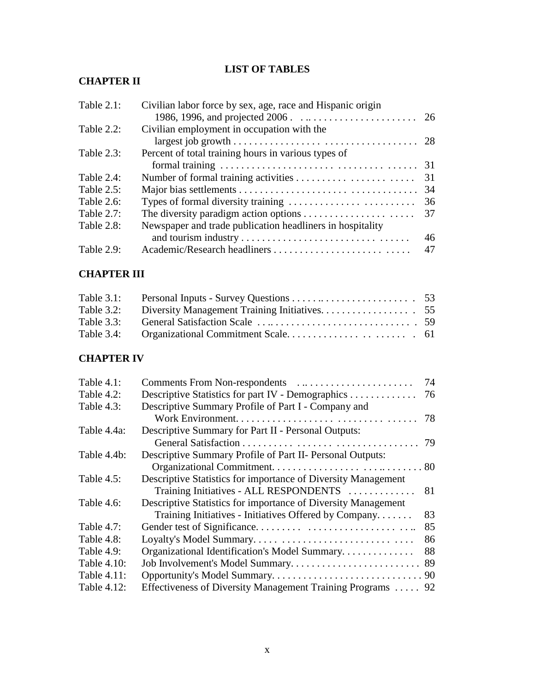## **LIST OF TABLES**

## **CHAPTER II**

| Table 2.1: | Civilian labor force by sex, age, race and Hispanic origin                                        |    |
|------------|---------------------------------------------------------------------------------------------------|----|
|            |                                                                                                   |    |
| Table 2.2: | Civilian employment in occupation with the                                                        |    |
|            |                                                                                                   |    |
| Table 2.3: | Percent of total training hours in various types of                                               |    |
|            | formal training $\ldots \ldots \ldots \ldots \ldots \ldots \ldots \ldots \ldots \ldots \ldots$ 31 |    |
| Table 2.4: |                                                                                                   | 31 |
| Table 2.5: |                                                                                                   | 34 |
| Table 2.6: |                                                                                                   | 36 |
| Table 2.7: |                                                                                                   | 37 |
| Table 2.8: | Newspaper and trade publication headliners in hospitality                                         |    |
|            |                                                                                                   | 46 |
| Table 2.9: |                                                                                                   | 47 |

#### **CHAPTER III**

#### **CHAPTER IV**

| Table $4.1$ : |                                                               | 74 |
|---------------|---------------------------------------------------------------|----|
| Table $4.2$ : | Descriptive Statistics for part IV - Demographics             | 76 |
| Table 4.3:    | Descriptive Summary Profile of Part I - Company and           |    |
|               |                                                               | 78 |
| Table 4.4a:   | Descriptive Summary for Part II - Personal Outputs:           |    |
|               |                                                               | 79 |
| Table 4.4b:   | Descriptive Summary Profile of Part II- Personal Outputs:     |    |
|               |                                                               |    |
| Table $4.5$ : | Descriptive Statistics for importance of Diversity Management |    |
|               | Training Initiatives - ALL RESPONDENTS                        | 81 |
| Table 4.6:    | Descriptive Statistics for importance of Diversity Management |    |
|               | Training Initiatives - Initiatives Offered by Company         | 83 |
| Table $4.7$ : |                                                               | 85 |
| Table 4.8:    |                                                               | 86 |
| Table $4.9$ : | Organizational Identification's Model Summary                 | 88 |
| Table 4.10:   |                                                               |    |
| Table 4.11:   |                                                               |    |
| Table 4.12:   | Effectiveness of Diversity Management Training Programs  92   |    |
|               |                                                               |    |